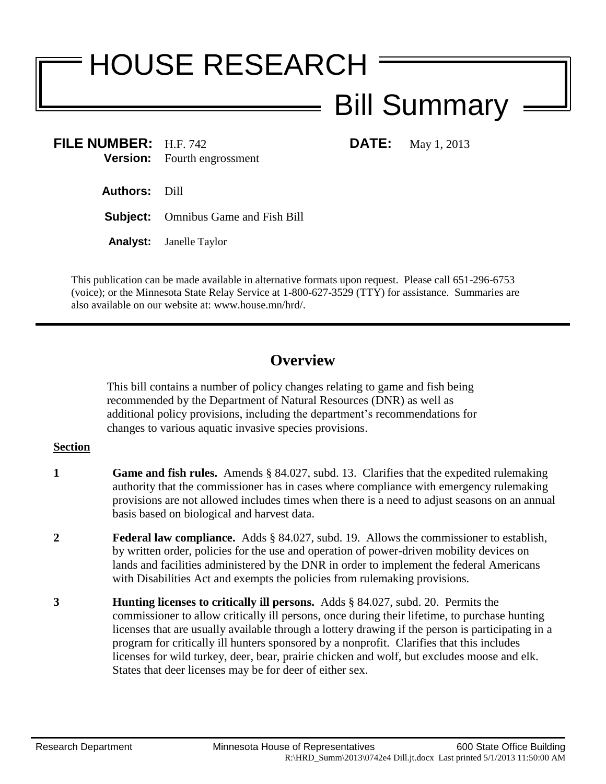# HOUSE RESEARCH

## Bill Summary

**FILE NUMBER:** H.F. 742 **DATE:** May 1, 2013 **Version:** Fourth engrossment

**Authors:** Dill

**Subject:** Omnibus Game and Fish Bill

**Analyst:** Janelle Taylor

This publication can be made available in alternative formats upon request. Please call 651-296-6753 (voice); or the Minnesota State Relay Service at 1-800-627-3529 (TTY) for assistance. Summaries are also available on our website at: www.house.mn/hrd/.

### **Overview**

This bill contains a number of policy changes relating to game and fish being recommended by the Department of Natural Resources (DNR) as well as additional policy provisions, including the department's recommendations for changes to various aquatic invasive species provisions.

- **1 Game and fish rules.** Amends § 84.027, subd. 13. Clarifies that the expedited rulemaking authority that the commissioner has in cases where compliance with emergency rulemaking provisions are not allowed includes times when there is a need to adjust seasons on an annual basis based on biological and harvest data.
- **2 Federal law compliance.** Adds § 84.027, subd. 19. Allows the commissioner to establish, by written order, policies for the use and operation of power-driven mobility devices on lands and facilities administered by the DNR in order to implement the federal Americans with Disabilities Act and exempts the policies from rulemaking provisions.
- **3 Hunting licenses to critically ill persons.** Adds § 84.027, subd. 20. Permits the commissioner to allow critically ill persons, once during their lifetime, to purchase hunting licenses that are usually available through a lottery drawing if the person is participating in a program for critically ill hunters sponsored by a nonprofit. Clarifies that this includes licenses for wild turkey, deer, bear, prairie chicken and wolf, but excludes moose and elk. States that deer licenses may be for deer of either sex.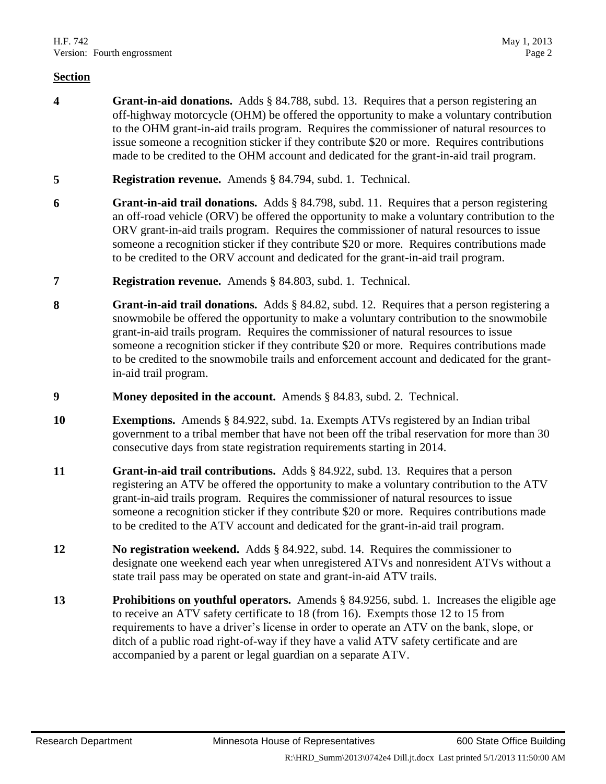- **4 Grant-in-aid donations.** Adds § 84.788, subd. 13. Requires that a person registering an off-highway motorcycle (OHM) be offered the opportunity to make a voluntary contribution to the OHM grant-in-aid trails program. Requires the commissioner of natural resources to issue someone a recognition sticker if they contribute \$20 or more. Requires contributions made to be credited to the OHM account and dedicated for the grant-in-aid trail program.
- **5 Registration revenue.** Amends § 84.794, subd. 1. Technical.
- **6 Grant-in-aid trail donations.** Adds § 84.798, subd. 11. Requires that a person registering an off-road vehicle (ORV) be offered the opportunity to make a voluntary contribution to the ORV grant-in-aid trails program. Requires the commissioner of natural resources to issue someone a recognition sticker if they contribute \$20 or more. Requires contributions made to be credited to the ORV account and dedicated for the grant-in-aid trail program.
- **7 Registration revenue.** Amends § 84.803, subd. 1. Technical.
- **8 Grant-in-aid trail donations.** Adds § 84.82, subd. 12. Requires that a person registering a snowmobile be offered the opportunity to make a voluntary contribution to the snowmobile grant-in-aid trails program. Requires the commissioner of natural resources to issue someone a recognition sticker if they contribute \$20 or more. Requires contributions made to be credited to the snowmobile trails and enforcement account and dedicated for the grantin-aid trail program.
- **9 Money deposited in the account.** Amends § 84.83, subd. 2. Technical.
- **10 Exemptions.** Amends § 84.922, subd. 1a. Exempts ATVs registered by an Indian tribal government to a tribal member that have not been off the tribal reservation for more than 30 consecutive days from state registration requirements starting in 2014.
- **11 Grant-in-aid trail contributions.** Adds § 84.922, subd. 13. Requires that a person registering an ATV be offered the opportunity to make a voluntary contribution to the ATV grant-in-aid trails program. Requires the commissioner of natural resources to issue someone a recognition sticker if they contribute \$20 or more. Requires contributions made to be credited to the ATV account and dedicated for the grant-in-aid trail program.
- **12 No registration weekend.** Adds § 84.922, subd. 14. Requires the commissioner to designate one weekend each year when unregistered ATVs and nonresident ATVs without a state trail pass may be operated on state and grant-in-aid ATV trails.
- **13 Prohibitions on youthful operators.** Amends § 84.9256, subd. 1. Increases the eligible age to receive an ATV safety certificate to 18 (from 16). Exempts those 12 to 15 from requirements to have a driver's license in order to operate an ATV on the bank, slope, or ditch of a public road right-of-way if they have a valid ATV safety certificate and are accompanied by a parent or legal guardian on a separate ATV.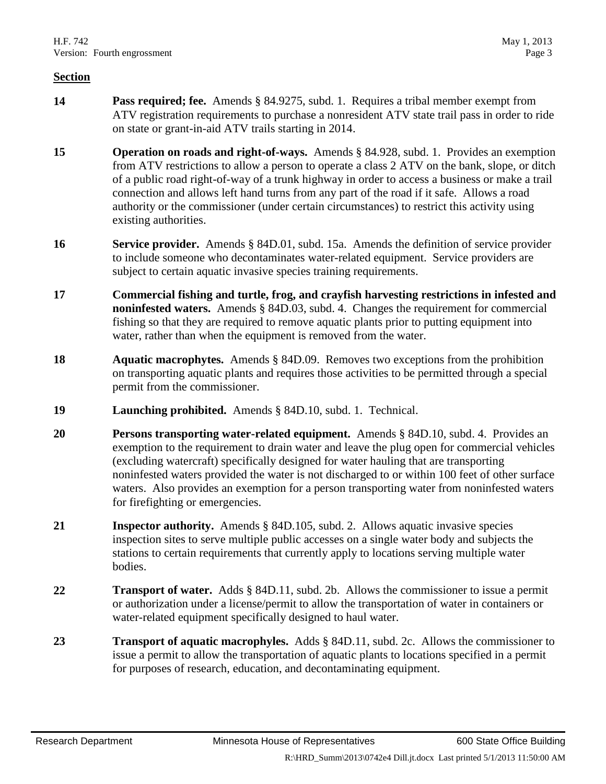- **14 Pass required; fee.** Amends § 84.9275, subd. 1. Requires a tribal member exempt from ATV registration requirements to purchase a nonresident ATV state trail pass in order to ride on state or grant-in-aid ATV trails starting in 2014.
- **15 Operation on roads and right-of-ways.** Amends § 84.928, subd. 1. Provides an exemption from ATV restrictions to allow a person to operate a class 2 ATV on the bank, slope, or ditch of a public road right-of-way of a trunk highway in order to access a business or make a trail connection and allows left hand turns from any part of the road if it safe. Allows a road authority or the commissioner (under certain circumstances) to restrict this activity using existing authorities.
- **16 Service provider.** Amends § 84D.01, subd. 15a. Amends the definition of service provider to include someone who decontaminates water-related equipment. Service providers are subject to certain aquatic invasive species training requirements.
- **17 Commercial fishing and turtle, frog, and crayfish harvesting restrictions in infested and noninfested waters.** Amends § 84D.03, subd. 4. Changes the requirement for commercial fishing so that they are required to remove aquatic plants prior to putting equipment into water, rather than when the equipment is removed from the water.
- **18 Aquatic macrophytes.** Amends § 84D.09. Removes two exceptions from the prohibition on transporting aquatic plants and requires those activities to be permitted through a special permit from the commissioner.
- **19 Launching prohibited.** Amends § 84D.10, subd. 1. Technical.
- **20 Persons transporting water-related equipment.** Amends § 84D.10, subd. 4. Provides an exemption to the requirement to drain water and leave the plug open for commercial vehicles (excluding watercraft) specifically designed for water hauling that are transporting noninfested waters provided the water is not discharged to or within 100 feet of other surface waters. Also provides an exemption for a person transporting water from noninfested waters for firefighting or emergencies.
- **21 Inspector authority.** Amends § 84D.105, subd. 2. Allows aquatic invasive species inspection sites to serve multiple public accesses on a single water body and subjects the stations to certain requirements that currently apply to locations serving multiple water bodies.
- **22 Transport of water.** Adds § 84D.11, subd. 2b. Allows the commissioner to issue a permit or authorization under a license/permit to allow the transportation of water in containers or water-related equipment specifically designed to haul water.
- **23 Transport of aquatic macrophyles.** Adds § 84D.11, subd. 2c. Allows the commissioner to issue a permit to allow the transportation of aquatic plants to locations specified in a permit for purposes of research, education, and decontaminating equipment.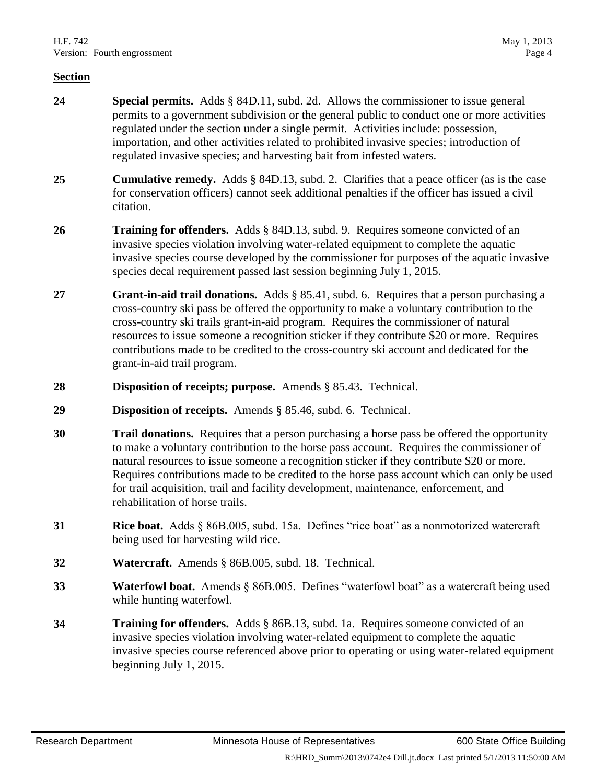- **24 Special permits.** Adds § 84D.11, subd. 2d. Allows the commissioner to issue general permits to a government subdivision or the general public to conduct one or more activities regulated under the section under a single permit. Activities include: possession, importation, and other activities related to prohibited invasive species; introduction of regulated invasive species; and harvesting bait from infested waters.
- **25 Cumulative remedy.** Adds § 84D.13, subd. 2. Clarifies that a peace officer (as is the case for conservation officers) cannot seek additional penalties if the officer has issued a civil citation.
- **26 Training for offenders.** Adds § 84D.13, subd. 9. Requires someone convicted of an invasive species violation involving water-related equipment to complete the aquatic invasive species course developed by the commissioner for purposes of the aquatic invasive species decal requirement passed last session beginning July 1, 2015.
- **27 Grant-in-aid trail donations.** Adds § 85.41, subd. 6. Requires that a person purchasing a cross-country ski pass be offered the opportunity to make a voluntary contribution to the cross-country ski trails grant-in-aid program. Requires the commissioner of natural resources to issue someone a recognition sticker if they contribute \$20 or more. Requires contributions made to be credited to the cross-country ski account and dedicated for the grant-in-aid trail program.
- **28 Disposition of receipts; purpose.** Amends § 85.43. Technical.
- **29 Disposition of receipts.** Amends § 85.46, subd. 6. Technical.
- **30 Trail donations.** Requires that a person purchasing a horse pass be offered the opportunity to make a voluntary contribution to the horse pass account. Requires the commissioner of natural resources to issue someone a recognition sticker if they contribute \$20 or more. Requires contributions made to be credited to the horse pass account which can only be used for trail acquisition, trail and facility development, maintenance, enforcement, and rehabilitation of horse trails.
- **31 Rice boat.** Adds § 86B.005, subd. 15a. Defines "rice boat" as a nonmotorized watercraft being used for harvesting wild rice.
- **32 Watercraft.** Amends § 86B.005, subd. 18. Technical.
- **33 Waterfowl boat.** Amends § 86B.005. Defines "waterfowl boat" as a watercraft being used while hunting waterfowl.
- **34 Training for offenders.** Adds § 86B.13, subd. 1a. Requires someone convicted of an invasive species violation involving water-related equipment to complete the aquatic invasive species course referenced above prior to operating or using water-related equipment beginning July 1, 2015.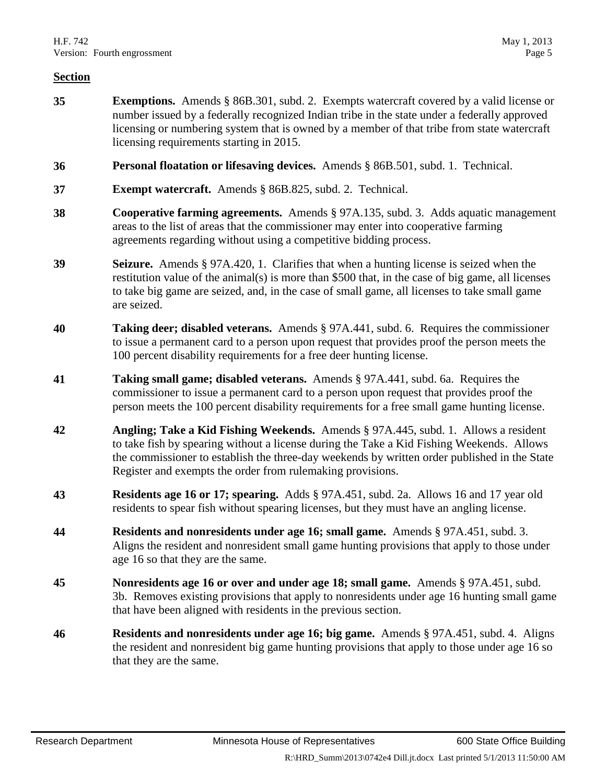- **35 Exemptions.** Amends § 86B.301, subd. 2. Exempts watercraft covered by a valid license or number issued by a federally recognized Indian tribe in the state under a federally approved licensing or numbering system that is owned by a member of that tribe from state watercraft licensing requirements starting in 2015.
- **36 Personal floatation or lifesaving devices.** Amends § 86B.501, subd. 1. Technical.
- **37 Exempt watercraft.** Amends § 86B.825, subd. 2. Technical.
- **38 Cooperative farming agreements.** Amends § 97A.135, subd. 3. Adds aquatic management areas to the list of areas that the commissioner may enter into cooperative farming agreements regarding without using a competitive bidding process.
- **39 Seizure.** Amends § 97A.420, 1. Clarifies that when a hunting license is seized when the restitution value of the animal(s) is more than \$500 that, in the case of big game, all licenses to take big game are seized, and, in the case of small game, all licenses to take small game are seized.
- **40 Taking deer; disabled veterans.** Amends § 97A.441, subd. 6. Requires the commissioner to issue a permanent card to a person upon request that provides proof the person meets the 100 percent disability requirements for a free deer hunting license.
- **41 Taking small game; disabled veterans.** Amends § 97A.441, subd. 6a. Requires the commissioner to issue a permanent card to a person upon request that provides proof the person meets the 100 percent disability requirements for a free small game hunting license.
- **42 Angling; Take a Kid Fishing Weekends.** Amends § 97A.445, subd. 1. Allows a resident to take fish by spearing without a license during the Take a Kid Fishing Weekends. Allows the commissioner to establish the three-day weekends by written order published in the State Register and exempts the order from rulemaking provisions.
- **43 Residents age 16 or 17; spearing.** Adds § 97A.451, subd. 2a. Allows 16 and 17 year old residents to spear fish without spearing licenses, but they must have an angling license.
- **44 Residents and nonresidents under age 16; small game.** Amends § 97A.451, subd. 3. Aligns the resident and nonresident small game hunting provisions that apply to those under age 16 so that they are the same.
- **45 Nonresidents age 16 or over and under age 18; small game.** Amends § 97A.451, subd. 3b. Removes existing provisions that apply to nonresidents under age 16 hunting small game that have been aligned with residents in the previous section.
- **46 Residents and nonresidents under age 16; big game.** Amends § 97A.451, subd. 4. Aligns the resident and nonresident big game hunting provisions that apply to those under age 16 so that they are the same.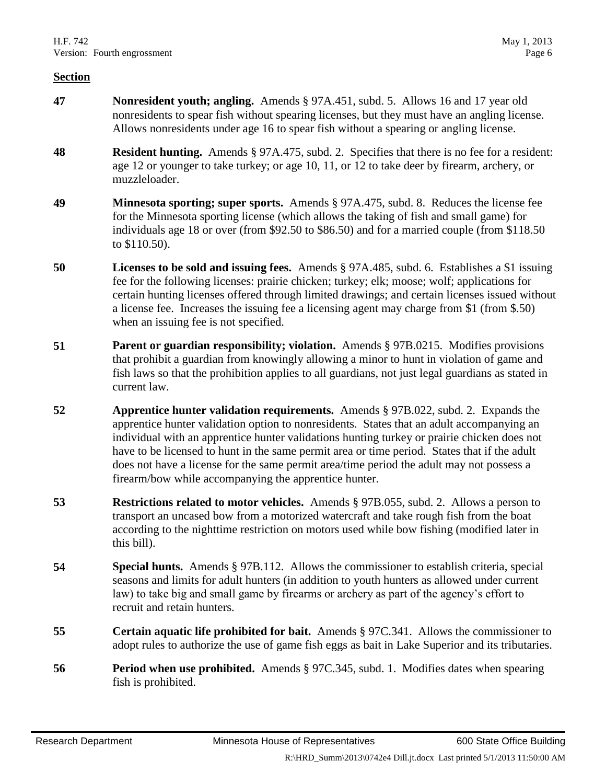- **47 Nonresident youth; angling.** Amends § 97A.451, subd. 5. Allows 16 and 17 year old nonresidents to spear fish without spearing licenses, but they must have an angling license. Allows nonresidents under age 16 to spear fish without a spearing or angling license.
- **48 Resident hunting.** Amends § 97A.475, subd. 2. Specifies that there is no fee for a resident: age 12 or younger to take turkey; or age 10, 11, or 12 to take deer by firearm, archery, or muzzleloader.
- **49 Minnesota sporting; super sports.** Amends § 97A.475, subd. 8. Reduces the license fee for the Minnesota sporting license (which allows the taking of fish and small game) for individuals age 18 or over (from \$92.50 to \$86.50) and for a married couple (from \$118.50 to \$110.50).
- **50 Licenses to be sold and issuing fees.** Amends § 97A.485, subd. 6. Establishes a \$1 issuing fee for the following licenses: prairie chicken; turkey; elk; moose; wolf; applications for certain hunting licenses offered through limited drawings; and certain licenses issued without a license fee. Increases the issuing fee a licensing agent may charge from \$1 (from \$.50) when an issuing fee is not specified.
- **51 Parent or guardian responsibility; violation.** Amends § 97B.0215. Modifies provisions that prohibit a guardian from knowingly allowing a minor to hunt in violation of game and fish laws so that the prohibition applies to all guardians, not just legal guardians as stated in current law.
- **52 Apprentice hunter validation requirements.** Amends § 97B.022, subd. 2. Expands the apprentice hunter validation option to nonresidents. States that an adult accompanying an individual with an apprentice hunter validations hunting turkey or prairie chicken does not have to be licensed to hunt in the same permit area or time period. States that if the adult does not have a license for the same permit area/time period the adult may not possess a firearm/bow while accompanying the apprentice hunter.
- **53 Restrictions related to motor vehicles.** Amends § 97B.055, subd. 2. Allows a person to transport an uncased bow from a motorized watercraft and take rough fish from the boat according to the nighttime restriction on motors used while bow fishing (modified later in this bill).
- **54 Special hunts.** Amends § 97B.112. Allows the commissioner to establish criteria, special seasons and limits for adult hunters (in addition to youth hunters as allowed under current law) to take big and small game by firearms or archery as part of the agency's effort to recruit and retain hunters.
- **55 Certain aquatic life prohibited for bait.** Amends § 97C.341. Allows the commissioner to adopt rules to authorize the use of game fish eggs as bait in Lake Superior and its tributaries.
- **56 Period when use prohibited.** Amends § 97C.345, subd. 1. Modifies dates when spearing fish is prohibited.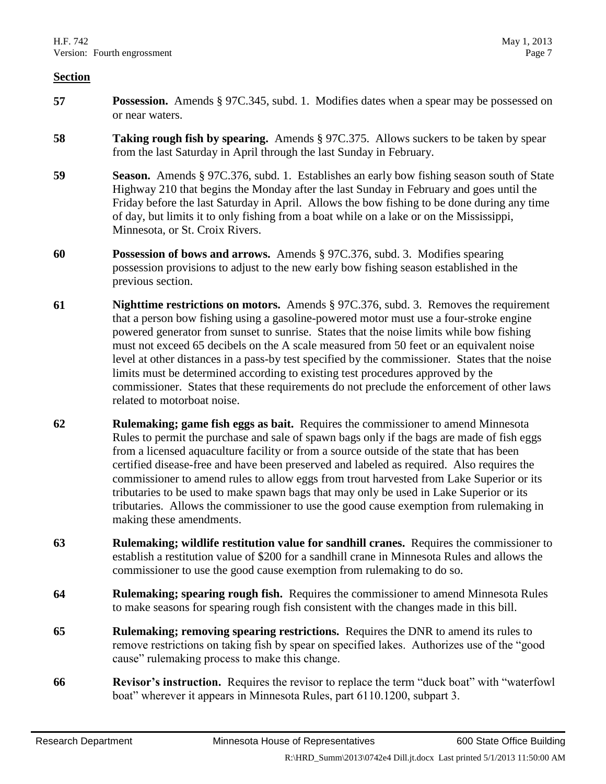- **57 Possession.** Amends § 97C.345, subd. 1. Modifies dates when a spear may be possessed on or near waters.
- **58 Taking rough fish by spearing.** Amends § 97C.375. Allows suckers to be taken by spear from the last Saturday in April through the last Sunday in February.
- **59 Season.** Amends § 97C.376, subd. 1. Establishes an early bow fishing season south of State Highway 210 that begins the Monday after the last Sunday in February and goes until the Friday before the last Saturday in April. Allows the bow fishing to be done during any time of day, but limits it to only fishing from a boat while on a lake or on the Mississippi, Minnesota, or St. Croix Rivers.
- **60 Possession of bows and arrows.** Amends § 97C.376, subd. 3. Modifies spearing possession provisions to adjust to the new early bow fishing season established in the previous section.
- **61 Nighttime restrictions on motors.** Amends § 97C.376, subd. 3. Removes the requirement that a person bow fishing using a gasoline-powered motor must use a four-stroke engine powered generator from sunset to sunrise. States that the noise limits while bow fishing must not exceed 65 decibels on the A scale measured from 50 feet or an equivalent noise level at other distances in a pass-by test specified by the commissioner. States that the noise limits must be determined according to existing test procedures approved by the commissioner. States that these requirements do not preclude the enforcement of other laws related to motorboat noise.
- **62 Rulemaking; game fish eggs as bait.** Requires the commissioner to amend Minnesota Rules to permit the purchase and sale of spawn bags only if the bags are made of fish eggs from a licensed aquaculture facility or from a source outside of the state that has been certified disease-free and have been preserved and labeled as required. Also requires the commissioner to amend rules to allow eggs from trout harvested from Lake Superior or its tributaries to be used to make spawn bags that may only be used in Lake Superior or its tributaries. Allows the commissioner to use the good cause exemption from rulemaking in making these amendments.
- **63 Rulemaking; wildlife restitution value for sandhill cranes.** Requires the commissioner to establish a restitution value of \$200 for a sandhill crane in Minnesota Rules and allows the commissioner to use the good cause exemption from rulemaking to do so.
- **64 Rulemaking; spearing rough fish.** Requires the commissioner to amend Minnesota Rules to make seasons for spearing rough fish consistent with the changes made in this bill.
- **65 Rulemaking; removing spearing restrictions.** Requires the DNR to amend its rules to remove restrictions on taking fish by spear on specified lakes. Authorizes use of the "good cause" rulemaking process to make this change.
- **66 Revisor's instruction.** Requires the revisor to replace the term "duck boat" with "waterfowl boat" wherever it appears in Minnesota Rules, part 6110.1200, subpart 3.